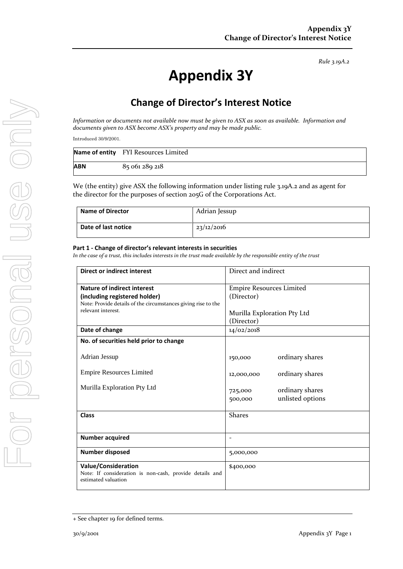*Rule 3.19A.2*

# **Appendix 3Y**

## **Change of Director's Interest Notice**

*Information or documents not available now must be given to ASX as soon as available. Information and documents given to ASX become ASX's property and may be made public.*

*Introduced 30/9/2001.*

|     | Name of entity FYI Resources Limited |
|-----|--------------------------------------|
| ABN | 85 061 289 218                       |

We (the entity) give ASX the following information under listing rule 3.19A.2 and as agent for the director for the purposes of section 205G of the Corporations Act.

| <b>Name of Director</b> | Adrian Jessup |
|-------------------------|---------------|
| Date of last notice     | 23/12/2016    |

#### **Part 1 - Change of director's relevant interests in securities**

*In the case of a trust, this includes interests in the trust made available by the responsible entity of the trust*

| <b>Direct or indirect interest</b>                                             | Direct and indirect             |  |
|--------------------------------------------------------------------------------|---------------------------------|--|
| Nature of indirect interest                                                    | <b>Empire Resources Limited</b> |  |
| (including registered holder)                                                  | (Director)                      |  |
| Note: Provide details of the circumstances giving rise to the                  |                                 |  |
| relevant interest.                                                             | Murilla Exploration Pty Ltd     |  |
|                                                                                |                                 |  |
|                                                                                | (Director)                      |  |
| Date of change                                                                 | 14/02/2018                      |  |
| No. of securities held prior to change                                         |                                 |  |
| Adrian Jessup                                                                  | ordinary shares<br>150,000      |  |
| <b>Empire Resources Limited</b>                                                | ordinary shares<br>12,000,000   |  |
| Murilla Exploration Pty Ltd                                                    |                                 |  |
|                                                                                | ordinary shares<br>725,000      |  |
|                                                                                | unlisted options<br>500,000     |  |
| <b>Class</b>                                                                   | <b>Shares</b>                   |  |
|                                                                                |                                 |  |
| <b>Number acquired</b>                                                         | $\overline{a}$                  |  |
| <b>Number disposed</b>                                                         | 5,000,000                       |  |
| <b>Value/Consideration</b>                                                     | \$400,000                       |  |
| Note: If consideration is non-cash, provide details and<br>estimated valuation |                                 |  |
|                                                                                |                                 |  |

<sup>+</sup> See chapter 19 for defined terms.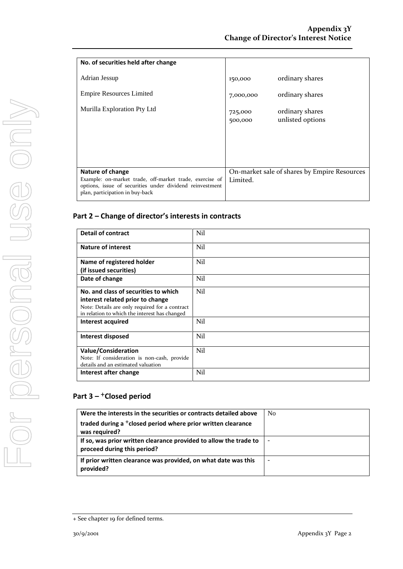| No. of securities held after change                                                                                                                    |                    |                                              |
|--------------------------------------------------------------------------------------------------------------------------------------------------------|--------------------|----------------------------------------------|
| Adrian Jessup                                                                                                                                          | 150,000            | ordinary shares                              |
| <b>Empire Resources Limited</b>                                                                                                                        | 7,000,000          | ordinary shares                              |
|                                                                                                                                                        |                    |                                              |
| Murilla Exploration Pty Ltd                                                                                                                            | 725,000<br>500,000 | ordinary shares<br>unlisted options          |
|                                                                                                                                                        |                    |                                              |
|                                                                                                                                                        |                    |                                              |
|                                                                                                                                                        |                    |                                              |
|                                                                                                                                                        |                    |                                              |
| <b>Nature of change</b>                                                                                                                                |                    | On-market sale of shares by Empire Resources |
| Example: on-market trade, off-market trade, exercise of<br>options, issue of securities under dividend reinvestment<br>plan, participation in buy-back | Limited.           |                                              |

### **Part 2 – Change of director's interests in contracts**

| <b>Detail of contract</b>                                                                       | Nil |
|-------------------------------------------------------------------------------------------------|-----|
| <b>Nature of interest</b>                                                                       | Nil |
| Name of registered holder                                                                       | Nil |
| (if issued securities)                                                                          |     |
| Date of change                                                                                  | Nil |
| No. and class of securities to which                                                            | Nil |
| interest related prior to change                                                                |     |
| Note: Details are only required for a contract<br>in relation to which the interest has changed |     |
| Interest acquired                                                                               | Nil |
| Interest disposed                                                                               | Nil |
| <b>Value/Consideration</b>                                                                      | Nil |
| Note: If consideration is non-cash, provide<br>details and an estimated valuation               |     |
| Interest after change                                                                           | Nil |

## **Part 3 –** +**Closed period**

| Were the interests in the securities or contracts detailed above                                 | No |
|--------------------------------------------------------------------------------------------------|----|
| traded during a <sup>+</sup> closed period where prior written clearance<br>was required?        |    |
| If so, was prior written clearance provided to allow the trade to<br>proceed during this period? |    |
| If prior written clearance was provided, on what date was this<br>provided?                      |    |

<sup>+</sup> See chapter 19 for defined terms.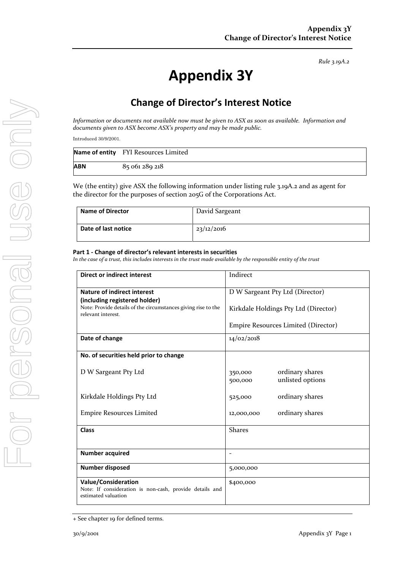*Rule 3.19A.2*

# **Appendix 3Y**

## **Change of Director's Interest Notice**

*Information or documents not available now must be given to ASX as soon as available. Information and documents given to ASX become ASX's property and may be made public.*

*Introduced 30/9/2001.*

|     | Name of entity FYI Resources Limited |
|-----|--------------------------------------|
| ABN | 85 061 289 218                       |

We (the entity) give ASX the following information under listing rule 3.19A.2 and as agent for the director for the purposes of section 205G of the Corporations Act.

| Name of Director    | David Sargeant |
|---------------------|----------------|
| Date of last notice | 23/12/2016     |

#### **Part 1 - Change of director's relevant interests in securities**

*In the case of a trust, this includes interests in the trust made available by the responsible entity of the trust*

| <b>Direct or indirect interest</b>                                                                                   | Indirect                                                  |  |
|----------------------------------------------------------------------------------------------------------------------|-----------------------------------------------------------|--|
| <b>Nature of indirect interest</b>                                                                                   | D W Sargeant Pty Ltd (Director)                           |  |
| (including registered holder)<br>Note: Provide details of the circumstances giving rise to the<br>relevant interest. | Kirkdale Holdings Pty Ltd (Director)                      |  |
|                                                                                                                      | Empire Resources Limited (Director)                       |  |
| Date of change                                                                                                       | 14/02/2018                                                |  |
| No. of securities held prior to change                                                                               |                                                           |  |
| D W Sargeant Pty Ltd                                                                                                 | ordinary shares<br>350,000<br>unlisted options<br>500,000 |  |
| Kirkdale Holdings Pty Ltd                                                                                            | ordinary shares<br>525,000                                |  |
| <b>Empire Resources Limited</b>                                                                                      | ordinary shares<br>12,000,000                             |  |
| <b>Class</b>                                                                                                         | <b>Shares</b>                                             |  |
|                                                                                                                      |                                                           |  |
| <b>Number acquired</b>                                                                                               | $\blacksquare$                                            |  |
| <b>Number disposed</b>                                                                                               | 5,000,000                                                 |  |
| <b>Value/Consideration</b><br>Note: If consideration is non-cash, provide details and<br>estimated valuation         | \$400,000                                                 |  |

<sup>+</sup> See chapter 19 for defined terms.